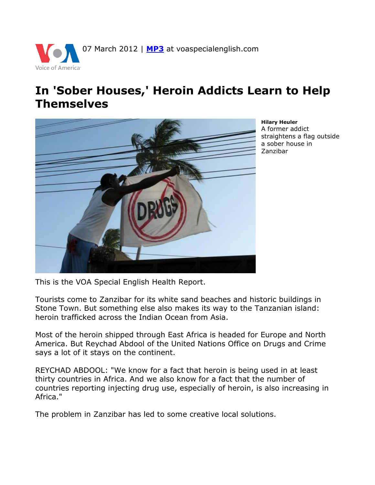

## **In 'Sober Houses,' Heroin Addicts Learn to Help Themselves**



**Hilary Heuler** A former addict straightens a flag outside a sober house in Zanzibar

This is the VOA Special English Health Report.

Tourists come to Zanzibar for its white sand beaches and historic buildings in Stone Town. But something else also makes its way to the Tanzanian island: heroin trafficked across the Indian Ocean from Asia.

Most of the heroin shipped through East Africa is headed for Europe and North America. But Reychad Abdool of the United Nations Office on Drugs and Crime says a lot of it stays on the continent.

REYCHAD ABDOOL: "We know for a fact that heroin is being used in at least thirty countries in Africa. And we also know for a fact that the number of countries reporting injecting drug use, especially of heroin, is also increasing in Africa."

The problem in Zanzibar has led to some creative local solutions.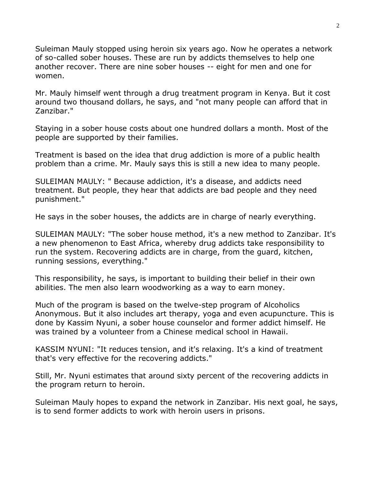Suleiman Mauly stopped using heroin six years ago. Now he operates a network of so-called sober houses. These are run by addicts themselves to help one another recover. There are nine sober houses -- eight for men and one for women.

Mr. Mauly himself went through a drug treatment program in Kenya. But it cost around two thousand dollars, he says, and "not many people can afford that in Zanzibar."

Staying in a sober house costs about one hundred dollars a month. Most of the people are supported by their families.

Treatment is based on the idea that drug addiction is more of a public health problem than a crime. Mr. Mauly says this is still a new idea to many people.

SULEIMAN MAULY: " Because addiction, it's a disease, and addicts need treatment. But people, they hear that addicts are bad people and they need punishment."

He says in the sober houses, the addicts are in charge of nearly everything.

SULEIMAN MAULY: "The sober house method, it's a new method to Zanzibar. It's a new phenomenon to East Africa, whereby drug addicts take responsibility to run the system. Recovering addicts are in charge, from the guard, kitchen, running sessions, everything."

This responsibility, he says, is important to building their belief in their own abilities. The men also learn woodworking as a way to earn money.

Much of the program is based on the twelve-step program of Alcoholics Anonymous. But it also includes art therapy, yoga and even acupuncture. This is done by Kassim Nyuni, a sober house counselor and former addict himself. He was trained by a volunteer from a Chinese medical school in Hawaii.

KASSIM NYUNI: "It reduces tension, and it's relaxing. It's a kind of treatment that's very effective for the recovering addicts."

Still, Mr. Nyuni estimates that around sixty percent of the recovering addicts in the program return to heroin.

Suleiman Mauly hopes to expand the network in Zanzibar. His next goal, he says, is to send former addicts to work with heroin users in prisons.